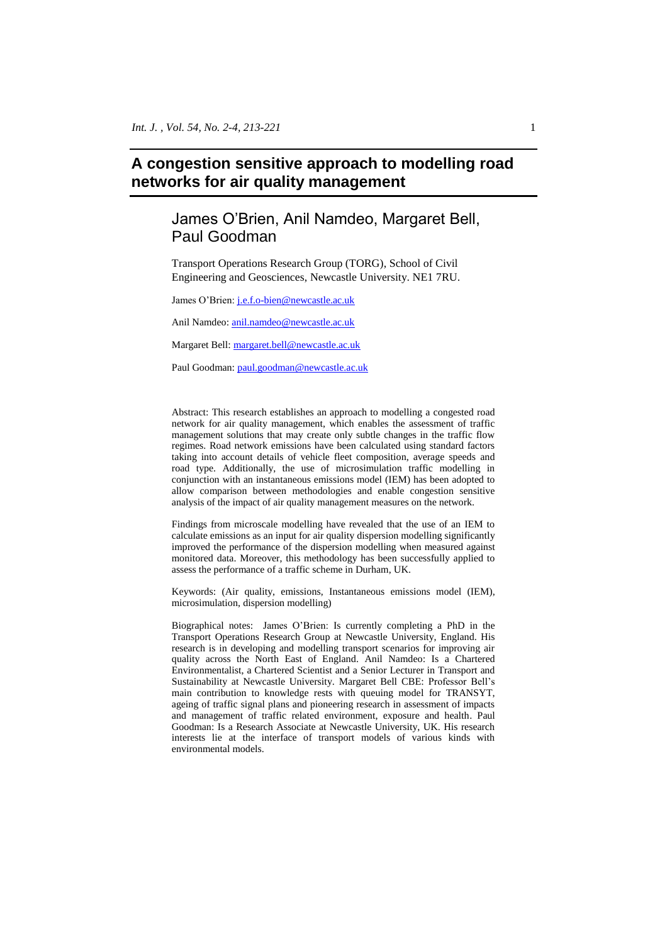# **A congestion sensitive approach to modelling road networks for air quality management**

# James O'Brien, Anil Namdeo, Margaret Bell, Paul Goodman

Transport Operations Research Group (TORG), School of Civil Engineering and Geosciences, Newcastle University. NE1 7RU.

James O'Brien[: j.e.f.o-bien@newcastle.ac.uk](mailto:j.e.f.o-bien@newcastle.ac.uk)

Anil Namdeo[: anil.namdeo@newcastle.ac.uk](mailto:anil.namdeo@newcastle.ac.uk)

Margaret Bell: [margaret.bell@newcastle.ac.uk](mailto:margaret.bell@newcastle.ac.uk)

Paul Goodman: [paul.goodman@newcastle.ac.uk](mailto:paul.goodman@newcastle.ac.uk)

Abstract: This research establishes an approach to modelling a congested road network for air quality management, which enables the assessment of traffic management solutions that may create only subtle changes in the traffic flow regimes. Road network emissions have been calculated using standard factors taking into account details of vehicle fleet composition, average speeds and road type. Additionally, the use of microsimulation traffic modelling in conjunction with an instantaneous emissions model (IEM) has been adopted to allow comparison between methodologies and enable congestion sensitive analysis of the impact of air quality management measures on the network.

Findings from microscale modelling have revealed that the use of an IEM to calculate emissions as an input for air quality dispersion modelling significantly improved the performance of the dispersion modelling when measured against monitored data. Moreover, this methodology has been successfully applied to assess the performance of a traffic scheme in Durham, UK.

Keywords: (Air quality, emissions, Instantaneous emissions model (IEM), microsimulation, dispersion modelling)

Biographical notes: James O'Brien: Is currently completing a PhD in the Transport Operations Research Group at Newcastle University, England. His research is in developing and modelling transport scenarios for improving air quality across the North East of England. Anil Namdeo: Is a Chartered Environmentalist, a Chartered Scientist and a Senior Lecturer in Transport and Sustainability at Newcastle University. Margaret Bell CBE: Professor Bell's main contribution to knowledge rests with queuing model for TRANSYT, ageing of traffic signal plans and pioneering research in assessment of impacts and management of traffic related environment, exposure and health. Paul Goodman: Is a Research Associate at Newcastle University, UK. His research interests lie at the interface of transport models of various kinds with environmental models.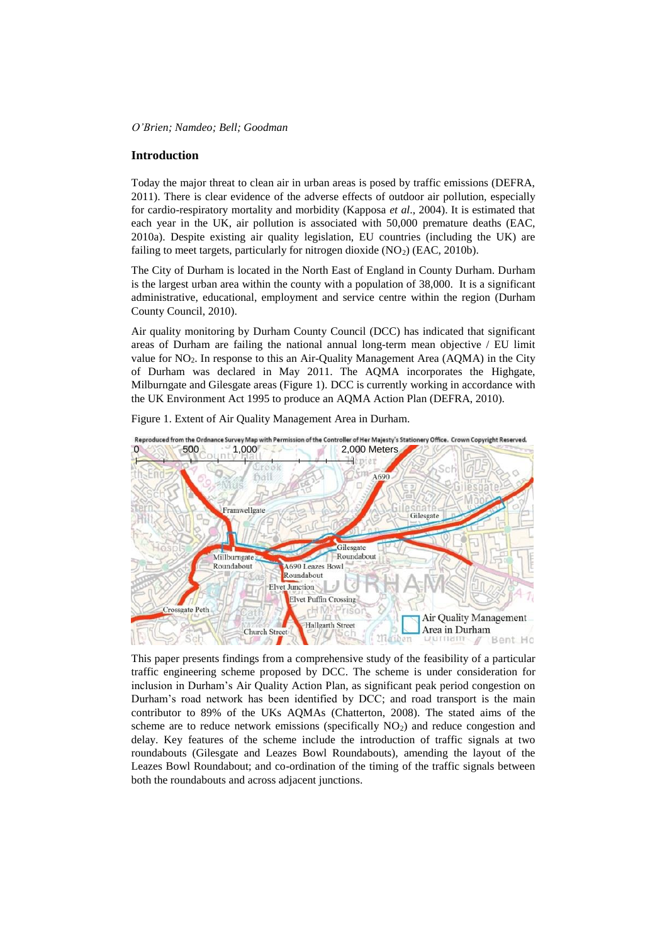#### **Introduction**

Today the major threat to clean air in urban areas is posed by traffic emissions (DEFRA, 2011). There is clear evidence of the adverse effects of outdoor air pollution, especially for cardio-respiratory mortality and morbidity (Kapposa *et al*., 2004). It is estimated that each year in the UK, air pollution is associated with 50,000 premature deaths (EAC, 2010a). Despite existing air quality legislation, EU countries (including the UK) are failing to meet targets, particularly for nitrogen dioxide  $(NO<sub>2</sub>)$  (EAC, 2010b).

The City of Durham is located in the North East of England in County Durham. Durham is the largest urban area within the county with a population of 38,000. It is a significant administrative, educational, employment and service centre within the region (Durham County Council, 2010).

Air quality monitoring by Durham County Council (DCC) has indicated that significant areas of Durham are failing the national annual long-term mean objective / EU limit value for NO2. In response to this an Air-Quality Management Area (AQMA) in the City of Durham was declared in May 2011. The AQMA incorporates the Highgate, Milburngate and Gilesgate areas (Figure 1). DCC is currently working in accordance with the UK Environment Act 1995 to produce an AQMA Action Plan (DEFRA, 2010).

Figure 1. Extent of Air Quality Management Area in Durham.



This paper presents findings from a comprehensive study of the feasibility of a particular traffic engineering scheme proposed by DCC. The scheme is under consideration for inclusion in Durham's Air Quality Action Plan, as significant peak period congestion on Durham's road network has been identified by DCC; and road transport is the main contributor to 89% of the UKs AQMAs (Chatterton, 2008). The stated aims of the scheme are to reduce network emissions (specifically  $NO<sub>2</sub>$ ) and reduce congestion and delay. Key features of the scheme include the introduction of traffic signals at two roundabouts (Gilesgate and Leazes Bowl Roundabouts), amending the layout of the Leazes Bowl Roundabout; and co-ordination of the timing of the traffic signals between both the roundabouts and across adjacent junctions.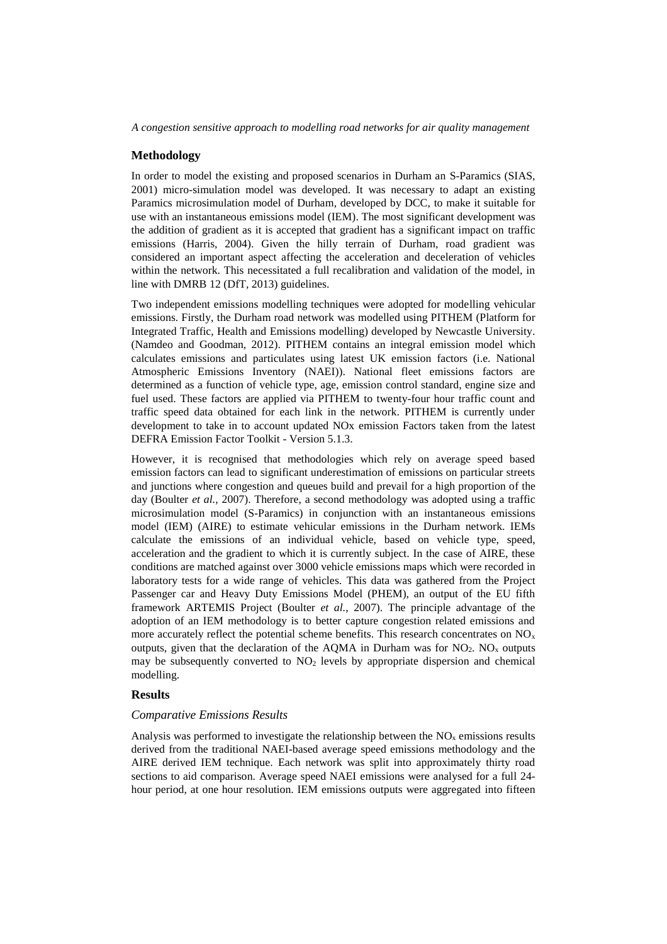*A congestion sensitive approach to modelling road networks for air quality management*

## **Methodology**

In order to model the existing and proposed scenarios in Durham an S-Paramics (SIAS, 2001) micro-simulation model was developed. It was necessary to adapt an existing Paramics microsimulation model of Durham, developed by DCC, to make it suitable for use with an instantaneous emissions model (IEM). The most significant development was the addition of gradient as it is accepted that gradient has a significant impact on traffic emissions (Harris, 2004). Given the hilly terrain of Durham, road gradient was considered an important aspect affecting the acceleration and deceleration of vehicles within the network. This necessitated a full recalibration and validation of the model, in line with DMRB 12 (DfT, 2013) guidelines.

Two independent emissions modelling techniques were adopted for modelling vehicular emissions. Firstly, the Durham road network was modelled using PITHEM (Platform for Integrated Traffic, Health and Emissions modelling) developed by Newcastle University. (Namdeo and Goodman, 2012). PITHEM contains an integral emission model which calculates emissions and particulates using latest UK emission factors (i.e. National Atmospheric Emissions Inventory (NAEI)). National fleet emissions factors are determined as a function of vehicle type, age, emission control standard, engine size and fuel used. These factors are applied via PITHEM to twenty-four hour traffic count and traffic speed data obtained for each link in the network. PITHEM is currently under development to take in to account updated NOx emission Factors taken from the latest DEFRA Emission Factor Toolkit - Version 5.1.3.

However, it is recognised that methodologies which rely on average speed based emission factors can lead to significant underestimation of emissions on particular streets and junctions where congestion and queues build and prevail for a high proportion of the day (Boulter *et al.*, 2007). Therefore, a second methodology was adopted using a traffic microsimulation model (S-Paramics) in conjunction with an instantaneous emissions model (IEM) (AIRE) to estimate vehicular emissions in the Durham network. IEMs calculate the emissions of an individual vehicle, based on vehicle type, speed, acceleration and the gradient to which it is currently subject. In the case of AIRE, these conditions are matched against over 3000 vehicle emissions maps which were recorded in laboratory tests for a wide range of vehicles. This data was gathered from the Project Passenger car and Heavy Duty Emissions Model (PHEM), an output of the EU fifth framework ARTEMIS Project (Boulter *et al.*, 2007). The principle advantage of the adoption of an IEM methodology is to better capture congestion related emissions and more accurately reflect the potential scheme benefits. This research concentrates on  $NO<sub>x</sub>$ outputs, given that the declaration of the AQMA in Durham was for  $NO<sub>2</sub>$ . NO<sub>x</sub> outputs may be subsequently converted to  $NO<sub>2</sub>$  levels by appropriate dispersion and chemical modelling.

## **Results**

### *Comparative Emissions Results*

Analysis was performed to investigate the relationship between the  $NO<sub>x</sub>$  emissions results derived from the traditional NAEI-based average speed emissions methodology and the AIRE derived IEM technique. Each network was split into approximately thirty road sections to aid comparison. Average speed NAEI emissions were analysed for a full 24 hour period, at one hour resolution. IEM emissions outputs were aggregated into fifteen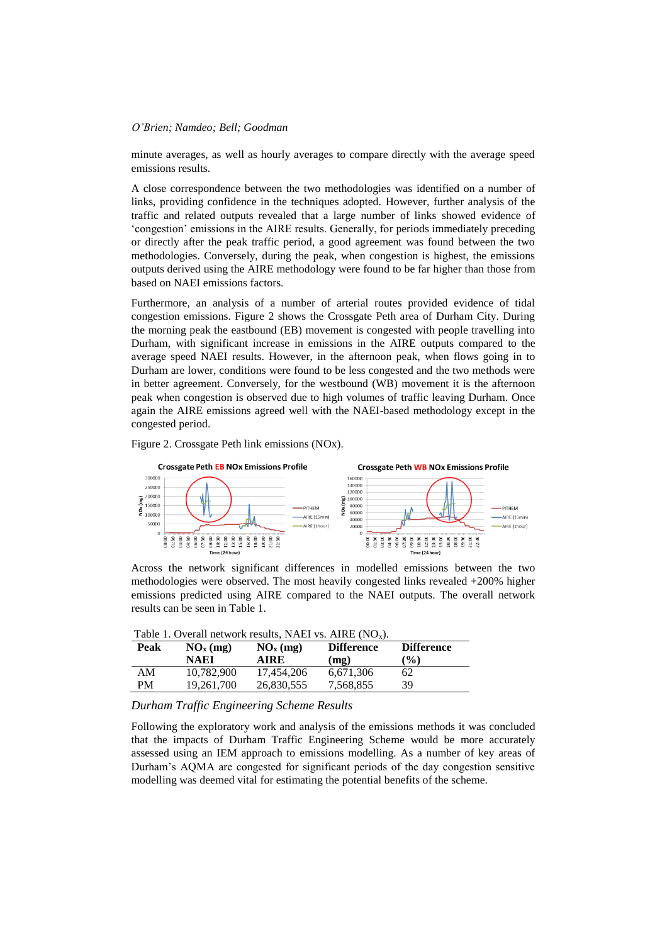minute averages, as well as hourly averages to compare directly with the average speed emissions results.

A close correspondence between the two methodologies was identified on a number of links, providing confidence in the techniques adopted. However, further analysis of the traffic and related outputs revealed that a large number of links showed evidence of 'congestion' emissions in the AIRE results. Generally, for periods immediately preceding or directly after the peak traffic period, a good agreement was found between the two methodologies. Conversely, during the peak, when congestion is highest, the emissions outputs derived using the AIRE methodology were found to be far higher than those from based on NAEI emissions factors.

Furthermore, an analysis of a number of arterial routes provided evidence of tidal congestion emissions. Figure 2 shows the Crossgate Peth area of Durham City. During the morning peak the eastbound (EB) movement is congested with people travelling into Durham, with significant increase in emissions in the AIRE outputs compared to the average speed NAEI results. However, in the afternoon peak, when flows going in to Durham are lower, conditions were found to be less congested and the two methods were in better agreement. Conversely, for the westbound (WB) movement it is the afternoon peak when congestion is observed due to high volumes of traffic leaving Durham. Once again the AIRE emissions agreed well with the NAEI-based methodology except in the congested period.





Across the network significant differences in modelled emissions between the two methodologies were observed. The most heavily congested links revealed +200% higher emissions predicted using AIRE compared to the NAEI outputs. The overall network results can be seen in Table 1.

|      |                      |                      | Table 1. Overall network results, NAEI vs. AIRE $(NO_x)$ . |                   |
|------|----------------------|----------------------|------------------------------------------------------------|-------------------|
| Peak | NO <sub>x</sub> (mg) | NO <sub>x</sub> (mg) | <b>Difference</b>                                          | <b>Difference</b> |

| ------ | $\sim$ $\sim$ $\sim$ $\sim$ $\sim$ $\sim$ $\sim$ | $\cdots$ $\cdots$ | ----------- | ----------- |  |  |
|--------|--------------------------------------------------|-------------------|-------------|-------------|--|--|
|        | NAEI                                             | AIRE              | (mg)        | $($ %)      |  |  |
| AΜ     | 10,782,900                                       | 17.454.206        | 6,671,306   | 62          |  |  |
| PM     | 19.261.700                                       | 26,830,555        | 7,568,855   | 39          |  |  |
|        |                                                  |                   |             |             |  |  |

# *Durham Traffic Engineering Scheme Results*

Following the exploratory work and analysis of the emissions methods it was concluded that the impacts of Durham Traffic Engineering Scheme would be more accurately assessed using an IEM approach to emissions modelling. As a number of key areas of Durham's AQMA are congested for significant periods of the day congestion sensitive modelling was deemed vital for estimating the potential benefits of the scheme.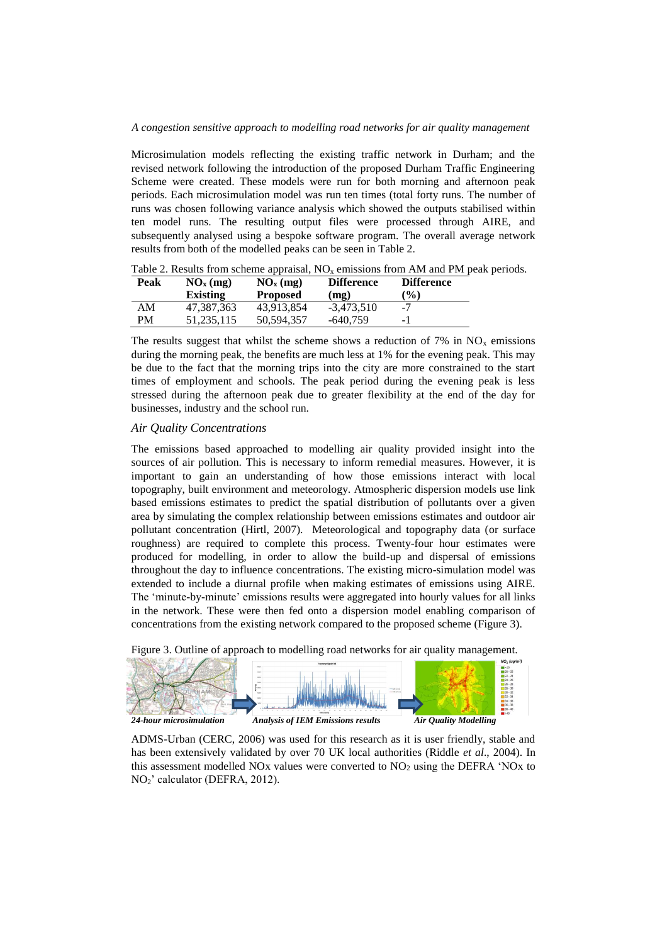### *A congestion sensitive approach to modelling road networks for air quality management*

Microsimulation models reflecting the existing traffic network in Durham; and the revised network following the introduction of the proposed Durham Traffic Engineering Scheme were created. These models were run for both morning and afternoon peak periods. Each microsimulation model was run ten times (total forty runs. The number of runs was chosen following variance analysis which showed the outputs stabilised within ten model runs. The resulting output files were processed through AIRE, and subsequently analysed using a bespoke software program. The overall average network results from both of the modelled peaks can be seen in Table 2.

| Peak | $NOx$ (mg) | $NOx$ (mg)      | <b>Difference</b> | <b>Difference</b> |
|------|------------|-----------------|-------------------|-------------------|
|      | Existing   | <b>Proposed</b> | (mg)              | $\frac{10}{6}$    |
| AM   | 47.387.363 | 43.913.854      | $-3.473.510$      | $-7$              |
| PM   | 51.235.115 | 50.594.357      | -640.759          | - 1               |

Table 2. Results from scheme appraisal,  $NO<sub>x</sub>$  emissions from AM and PM peak periods.

The results suggest that whilst the scheme shows a reduction of 7% in  $NO<sub>x</sub>$  emissions during the morning peak, the benefits are much less at 1% for the evening peak. This may be due to the fact that the morning trips into the city are more constrained to the start times of employment and schools. The peak period during the evening peak is less stressed during the afternoon peak due to greater flexibility at the end of the day for businesses, industry and the school run.

# *Air Quality Concentrations*

The emissions based approached to modelling air quality provided insight into the sources of air pollution. This is necessary to inform remedial measures. However, it is important to gain an understanding of how those emissions interact with local topography, built environment and meteorology. Atmospheric dispersion models use link based emissions estimates to predict the spatial distribution of pollutants over a given area by simulating the complex relationship between emissions estimates and outdoor air pollutant concentration (Hirtl, 2007). Meteorological and topography data (or surface roughness) are required to complete this process. Twenty-four hour estimates were produced for modelling, in order to allow the build-up and dispersal of emissions throughout the day to influence concentrations. The existing micro-simulation model was extended to include a diurnal profile when making estimates of emissions using AIRE. The 'minute-by-minute' emissions results were aggregated into hourly values for all links in the network. These were then fed onto a dispersion model enabling comparison of concentrations from the existing network compared to the proposed scheme (Figure 3).





ADMS-Urban (CERC, 2006) was used for this research as it is user friendly, stable and has been extensively validated by over 70 UK local authorities (Riddle *et al*., 2004). In this assessment modelled NOx values were converted to  $NO<sub>2</sub>$  using the DEFRA 'NOx to NO2' calculator (DEFRA, 2012).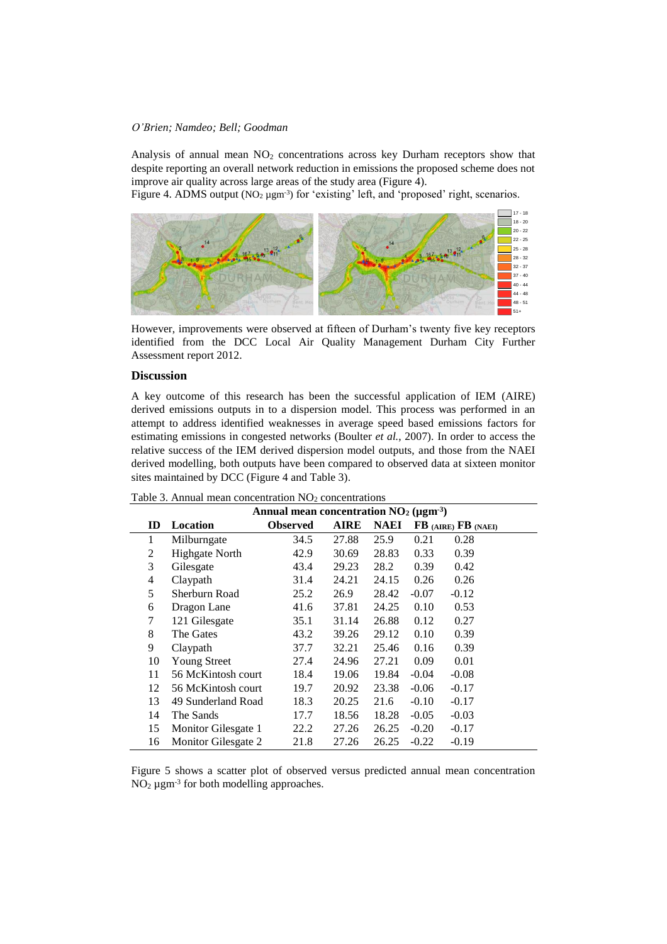Analysis of annual mean  $NO<sub>2</sub>$  concentrations across key Durham receptors show that despite reporting an overall network reduction in emissions the proposed scheme does not improve air quality across large areas of the study area (Figure 4).

Figure 4. ADMS output ( $NO_2 \mu g m^3$ ) for 'existing' left, and 'proposed' right, scenarios.



However, improvements were observed at fifteen of Durham's twenty five key receptors identified from the DCC Local Air Quality Management Durham City Further Assessment report 2012.

## **Discussion**

A key outcome of this research has been the successful application of IEM (AIRE) derived emissions outputs in to a dispersion model. This process was performed in an attempt to address identified weaknesses in average speed based emissions factors for estimating emissions in congested networks (Boulter *et al.*, 2007). In order to access the relative success of the IEM derived dispersion model outputs, and those from the NAEI derived modelling, both outputs have been compared to observed data at sixteen monitor sites maintained by DCC (Figure 4 and Table 3).

|               | Annual mean concentration $NO2 (\mu g m-3)$ |                 |             |             |         |                     |  |
|---------------|---------------------------------------------|-----------------|-------------|-------------|---------|---------------------|--|
| $\mathbf{ID}$ | Location                                    | <b>Observed</b> | <b>AIRE</b> | <b>NAEI</b> |         | FB (AIRE) FB (NAEI) |  |
| 1             | Milburngate                                 | 34.5            | 27.88       | 25.9        | 0.21    | 0.28                |  |
| 2             | <b>Highgate North</b>                       | 42.9            | 30.69       | 28.83       | 0.33    | 0.39                |  |
| 3             | Gilesgate                                   | 43.4            | 29.23       | 28.2        | 0.39    | 0.42                |  |
| 4             | Claypath                                    | 31.4            | 24.21       | 24.15       | 0.26    | 0.26                |  |
| 5             | Sherburn Road                               | 25.2            | 26.9        | 28.42       | $-0.07$ | $-0.12$             |  |
| 6             | Dragon Lane                                 | 41.6            | 37.81       | 24.25       | 0.10    | 0.53                |  |
| 7             | 121 Gilesgate                               | 35.1            | 31.14       | 26.88       | 0.12    | 0.27                |  |
| 8             | The Gates                                   | 43.2            | 39.26       | 29.12       | 0.10    | 0.39                |  |
| 9             | Claypath                                    | 37.7            | 32.21       | 25.46       | 0.16    | 0.39                |  |
| 10            | <b>Young Street</b>                         | 27.4            | 24.96       | 27.21       | 0.09    | 0.01                |  |
| 11            | 56 McKintosh court                          | 18.4            | 19.06       | 19.84       | $-0.04$ | $-0.08$             |  |
| 12            | 56 McKintosh court                          | 19.7            | 20.92       | 23.38       | $-0.06$ | $-0.17$             |  |
| 13            | 49 Sunderland Road                          | 18.3            | 20.25       | 21.6        | $-0.10$ | $-0.17$             |  |
| 14            | The Sands                                   | 17.7            | 18.56       | 18.28       | $-0.05$ | $-0.03$             |  |
| 15            | Monitor Gilesgate 1                         | 22.2            | 27.26       | 26.25       | $-0.20$ | $-0.17$             |  |
| 16            | Monitor Gilesgate 2                         | 21.8            | 27.26       | 26.25       | $-0.22$ | $-0.19$             |  |

Table 3. Annual mean concentration  $NO<sub>2</sub>$  concentrations

Figure 5 shows a scatter plot of observed versus predicted annual mean concentration  $NO<sub>2</sub> \mu g m<sup>-3</sup>$  for both modelling approaches.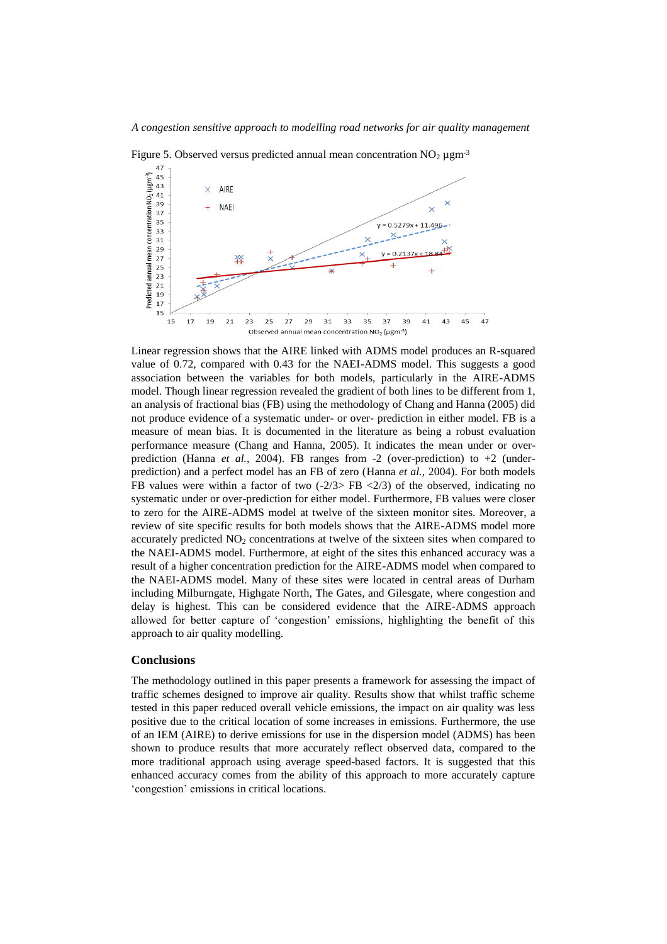

Figure 5. Observed versus predicted annual mean concentration  $NO<sub>2</sub> \mu g m<sup>-3</sup>$ 

Linear regression shows that the AIRE linked with ADMS model produces an R-squared value of 0.72, compared with 0.43 for the NAEI-ADMS model. This suggests a good association between the variables for both models, particularly in the AIRE-ADMS model. Though linear regression revealed the gradient of both lines to be different from 1, an analysis of fractional bias (FB) using the methodology of Chang and Hanna (2005) did not produce evidence of a systematic under- or over- prediction in either model. FB is a measure of mean bias. It is documented in the literature as being a robust evaluation performance measure (Chang and Hanna, 2005). It indicates the mean under or overprediction (Hanna *et al.*, 2004). FB ranges from  $-2$  (over-prediction) to  $+2$  (underprediction) and a perfect model has an FB of zero (Hanna *et al.,* 2004). For both models FB values were within a factor of two  $(-2/3)$ -FB  $\langle 2/3 \rangle$  of the observed, indicating no systematic under or over-prediction for either model. Furthermore, FB values were closer to zero for the AIRE-ADMS model at twelve of the sixteen monitor sites. Moreover, a review of site specific results for both models shows that the AIRE-ADMS model more accurately predicted  $NO<sub>2</sub>$  concentrations at twelve of the sixteen sites when compared to the NAEI-ADMS model. Furthermore, at eight of the sites this enhanced accuracy was a result of a higher concentration prediction for the AIRE-ADMS model when compared to the NAEI-ADMS model. Many of these sites were located in central areas of Durham including Milburngate, Highgate North, The Gates, and Gilesgate, where congestion and delay is highest. This can be considered evidence that the AIRE-ADMS approach allowed for better capture of 'congestion' emissions, highlighting the benefit of this approach to air quality modelling.

## **Conclusions**

The methodology outlined in this paper presents a framework for assessing the impact of traffic schemes designed to improve air quality. Results show that whilst traffic scheme tested in this paper reduced overall vehicle emissions, the impact on air quality was less positive due to the critical location of some increases in emissions. Furthermore, the use of an IEM (AIRE) to derive emissions for use in the dispersion model (ADMS) has been shown to produce results that more accurately reflect observed data, compared to the more traditional approach using average speed-based factors. It is suggested that this enhanced accuracy comes from the ability of this approach to more accurately capture 'congestion' emissions in critical locations.